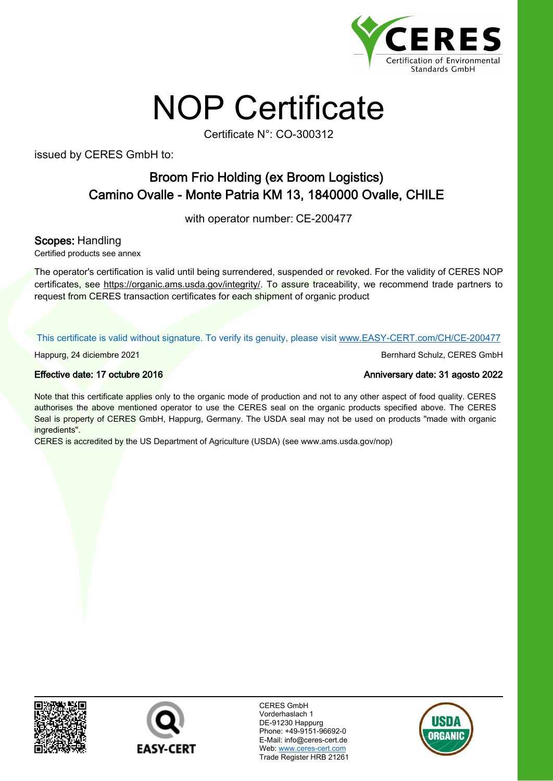

## NOP Certificate

Certificate N°: CO-300312

issued by CERES GmbH to:

## Broom Frio Holding (ex Broom Logistics) Camino Ovalle - Monte Patria KM 13, 1840000 Ovalle, CHILE

with operator number: CE-200477

Scopes: Handling

Certified products see annex

The operator's certification is valid until being surrendered, suspended or revoked. For the validity of CERES NOP certificates, see https://organic.ams.usda.gov/integrity/. To assure traceability, we recommend trade partners to request from CERES transaction certificates for each shipment of organic product

This certificate is valid without signature. To verify its genuity, please visit www.EASY-CERT.com/CH/CE-200477

Happurg, 24 diciembre 2021 Bernhard Schulz, CERES GmbH

Note that this certificate applies only to the organic mode of production and not to any other aspect of food quality. CERES authorises the above mentioned operator to use the CERES seal on the organic products specified above. The CERES Seal is property of CERES GmbH, Happurg, Germany. The USDA seal may not be used on products "made with organic ingredients".

CERES is accredited by the US Department of Agriculture (USDA) (see www.ams.usda.gov/nop)





CERES GmbH Vorderhaslach 1 DE-91230 Happurg Phone: +49-9151-96692-0 E-Mail: info@ceres-cert.de Web: www.ceres-cert.com Trade Register HRB 21261



Effective date: 17 octubre 2016 [Anniversary date: 31 agosto 2022](http://www.EASY-CERT.com/CH/CE-200477)